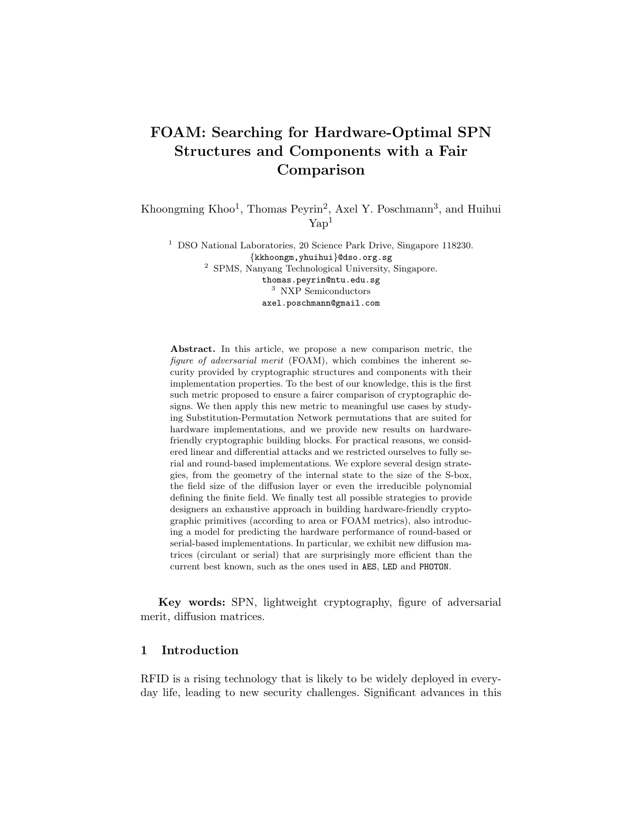# FOAM: Searching for Hardware-Optimal SPN Structures and Components with a Fair Comparison

Khoongming Khoo<sup>1</sup>, Thomas Peyrin<sup>2</sup>, Axel Y. Poschmann<sup>3</sup>, and Huihui  $\text{Yan}^1$ 

<sup>1</sup> DSO National Laboratories, 20 Science Park Drive, Singapore 118230. {kkhoongm,yhuihui}@dso.org.sg <sup>2</sup> SPMS, Nanyang Technological University, Singapore. thomas.peyrin@ntu.edu.sg <sup>3</sup> NXP Semiconductors axel.poschmann@gmail.com

Abstract. In this article, we propose a new comparison metric, the figure of adversarial merit (FOAM), which combines the inherent security provided by cryptographic structures and components with their implementation properties. To the best of our knowledge, this is the first such metric proposed to ensure a fairer comparison of cryptographic designs. We then apply this new metric to meaningful use cases by studying Substitution-Permutation Network permutations that are suited for hardware implementations, and we provide new results on hardwarefriendly cryptographic building blocks. For practical reasons, we considered linear and differential attacks and we restricted ourselves to fully serial and round-based implementations. We explore several design strategies, from the geometry of the internal state to the size of the S-box, the field size of the diffusion layer or even the irreducible polynomial defining the finite field. We finally test all possible strategies to provide designers an exhaustive approach in building hardware-friendly cryptographic primitives (according to area or FOAM metrics), also introducing a model for predicting the hardware performance of round-based or serial-based implementations. In particular, we exhibit new diffusion matrices (circulant or serial) that are surprisingly more efficient than the current best known, such as the ones used in AES, LED and PHOTON.

Key words: SPN, lightweight cryptography, figure of adversarial merit, diffusion matrices.

# 1 Introduction

RFID is a rising technology that is likely to be widely deployed in everyday life, leading to new security challenges. Significant advances in this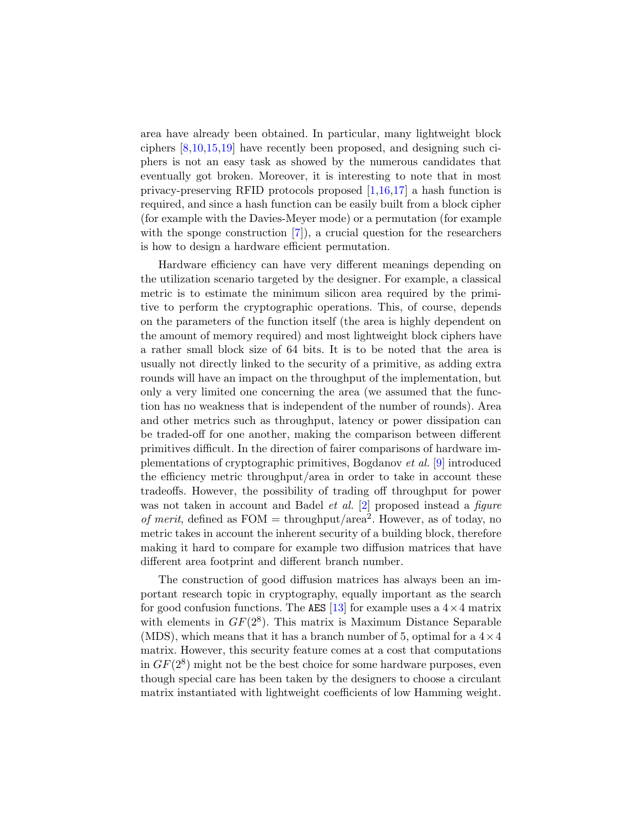area have already been obtained. In particular, many lightweight block ciphers [\[8,](#page-17-0)[10,](#page-17-1)[15,](#page-17-2)[19\]](#page-17-3) have recently been proposed, and designing such ciphers is not an easy task as showed by the numerous candidates that eventually got broken. Moreover, it is interesting to note that in most privacy-preserving RFID protocols proposed [\[1,](#page-16-0)[16,](#page-17-4)[17\]](#page-17-5) a hash function is required, and since a hash function can be easily built from a block cipher (for example with the Davies-Meyer mode) or a permutation (for example with the sponge construction  $[7]$ , a crucial question for the researchers is how to design a hardware efficient permutation.

Hardware efficiency can have very different meanings depending on the utilization scenario targeted by the designer. For example, a classical metric is to estimate the minimum silicon area required by the primitive to perform the cryptographic operations. This, of course, depends on the parameters of the function itself (the area is highly dependent on the amount of memory required) and most lightweight block ciphers have a rather small block size of 64 bits. It is to be noted that the area is usually not directly linked to the security of a primitive, as adding extra rounds will have an impact on the throughput of the implementation, but only a very limited one concerning the area (we assumed that the function has no weakness that is independent of the number of rounds). Area and other metrics such as throughput, latency or power dissipation can be traded-off for one another, making the comparison between different primitives difficult. In the direction of fairer comparisons of hardware implementations of cryptographic primitives, Bogdanov et al. [\[9\]](#page-17-7) introduced the efficiency metric throughput/area in order to take in account these tradeoffs. However, the possibility of trading off throughput for power was not taken in account and Badel *et al.* [\[2\]](#page-16-1) proposed instead a *figure* of merit, defined as  $FOM =$  throughput/area<sup>2</sup>. However, as of today, no metric takes in account the inherent security of a building block, therefore making it hard to compare for example two diffusion matrices that have different area footprint and different branch number.

The construction of good diffusion matrices has always been an important research topic in cryptography, equally important as the search for good confusion functions. The AES [\[13\]](#page-17-8) for example uses a  $4 \times 4$  matrix with elements in  $GF(2^8)$ . This matrix is Maximum Distance Separable (MDS), which means that it has a branch number of 5, optimal for a  $4 \times 4$ matrix. However, this security feature comes at a cost that computations in  $GF(2^8)$  might not be the best choice for some hardware purposes, even though special care has been taken by the designers to choose a circulant matrix instantiated with lightweight coefficients of low Hamming weight.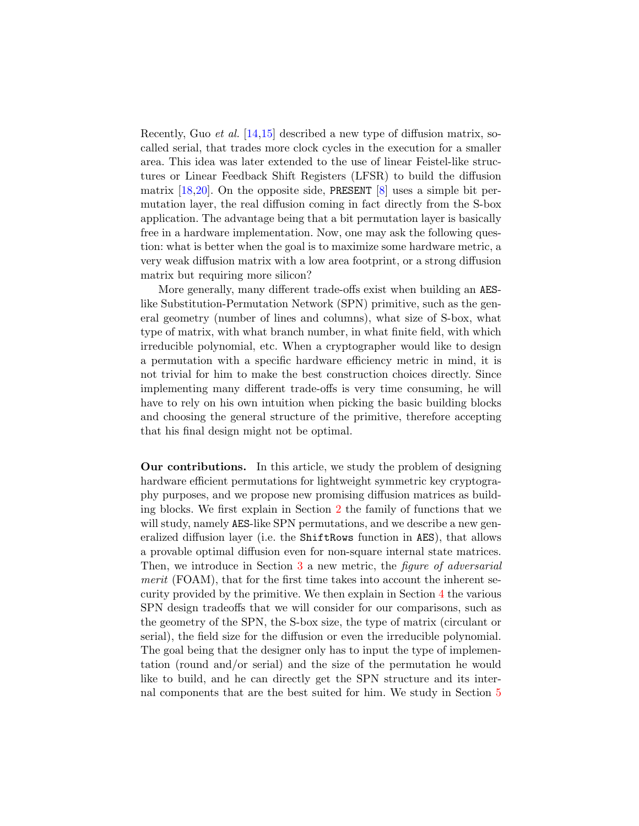Recently, Guo *et al.* [\[14](#page-17-9)[,15\]](#page-17-2) described a new type of diffusion matrix, socalled serial, that trades more clock cycles in the execution for a smaller area. This idea was later extended to the use of linear Feistel-like structures or Linear Feedback Shift Registers (LFSR) to build the diffusion matrix  $[18,20]$  $[18,20]$ . On the opposite side, PRESENT  $[8]$  uses a simple bit permutation layer, the real diffusion coming in fact directly from the S-box application. The advantage being that a bit permutation layer is basically free in a hardware implementation. Now, one may ask the following question: what is better when the goal is to maximize some hardware metric, a very weak diffusion matrix with a low area footprint, or a strong diffusion matrix but requiring more silicon?

More generally, many different trade-offs exist when building an AESlike Substitution-Permutation Network (SPN) primitive, such as the general geometry (number of lines and columns), what size of S-box, what type of matrix, with what branch number, in what finite field, with which irreducible polynomial, etc. When a cryptographer would like to design a permutation with a specific hardware efficiency metric in mind, it is not trivial for him to make the best construction choices directly. Since implementing many different trade-offs is very time consuming, he will have to rely on his own intuition when picking the basic building blocks and choosing the general structure of the primitive, therefore accepting that his final design might not be optimal.

Our contributions. In this article, we study the problem of designing hardware efficient permutations for lightweight symmetric key cryptography purposes, and we propose new promising diffusion matrices as building blocks. We first explain in Section [2](#page-3-0) the family of functions that we will study, namely AES-like SPN permutations, and we describe a new generalized diffusion layer (i.e. the ShiftRows function in AES), that allows a provable optimal diffusion even for non-square internal state matrices. Then, we introduce in Section [3](#page-6-0) a new metric, the *figure of adversarial* merit (FOAM), that for the first time takes into account the inherent security provided by the primitive. We then explain in Section [4](#page-7-0) the various SPN design tradeoffs that we will consider for our comparisons, such as the geometry of the SPN, the S-box size, the type of matrix (circulant or serial), the field size for the diffusion or even the irreducible polynomial. The goal being that the designer only has to input the type of implementation (round and/or serial) and the size of the permutation he would like to build, and he can directly get the SPN structure and its internal components that are the best suited for him. We study in Section [5](#page-9-0)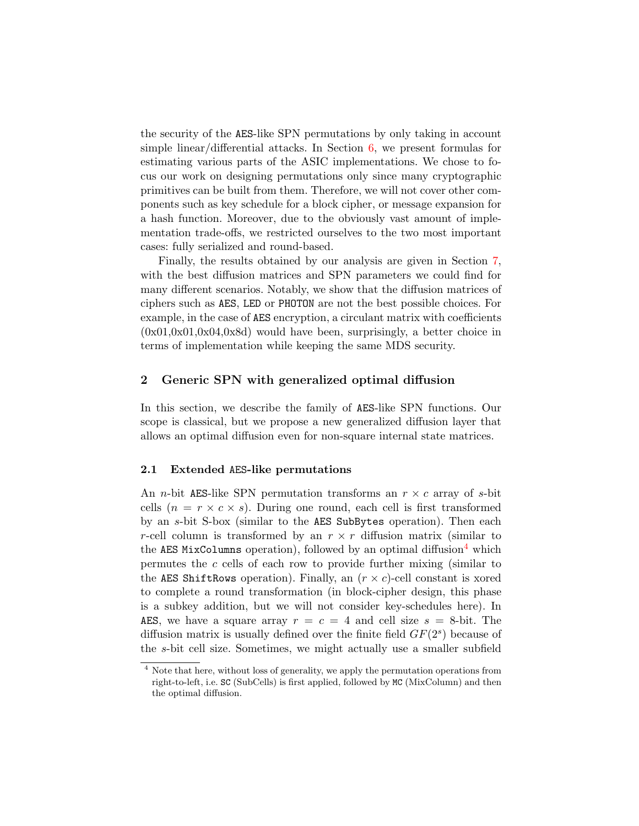the security of the AES-like SPN permutations by only taking in account simple linear/differential attacks. In Section  $6$ , we present formulas for estimating various parts of the ASIC implementations. We chose to focus our work on designing permutations only since many cryptographic primitives can be built from them. Therefore, we will not cover other components such as key schedule for a block cipher, or message expansion for a hash function. Moreover, due to the obviously vast amount of implementation trade-offs, we restricted ourselves to the two most important cases: fully serialized and round-based.

Finally, the results obtained by our analysis are given in Section [7,](#page-11-0) with the best diffusion matrices and SPN parameters we could find for many different scenarios. Notably, we show that the diffusion matrices of ciphers such as AES, LED or PHOTON are not the best possible choices. For example, in the case of AES encryption, a circulant matrix with coefficients  $(0x01,0x01,0x04,0x8d)$  would have been, surprisingly, a better choice in terms of implementation while keeping the same MDS security.

# <span id="page-3-0"></span>2 Generic SPN with generalized optimal diffusion

In this section, we describe the family of AES-like SPN functions. Our scope is classical, but we propose a new generalized diffusion layer that allows an optimal diffusion even for non-square internal state matrices.

### 2.1 Extended AES-like permutations

An *n*-bit AES-like SPN permutation transforms an  $r \times c$  array of *s*-bit cells  $(n = r \times c \times s)$ . During one round, each cell is first transformed by an s-bit S-box (similar to the AES SubBytes operation). Then each r-cell column is transformed by an  $r \times r$  diffusion matrix (similar to the AES MixColumns operation), followed by an optimal diffusion<sup>[4](#page-3-1)</sup> which permutes the c cells of each row to provide further mixing (similar to the AES ShiftRows operation). Finally, an  $(r \times c)$ -cell constant is xored to complete a round transformation (in block-cipher design, this phase is a subkey addition, but we will not consider key-schedules here). In AES, we have a square array  $r = c = 4$  and cell size  $s = 8$ -bit. The diffusion matrix is usually defined over the finite field  $GF(2<sup>s</sup>)$  because of the s-bit cell size. Sometimes, we might actually use a smaller subfield

<span id="page-3-1"></span><sup>4</sup> Note that here, without loss of generality, we apply the permutation operations from right-to-left, i.e. SC (SubCells) is first applied, followed by MC (MixColumn) and then the optimal diffusion.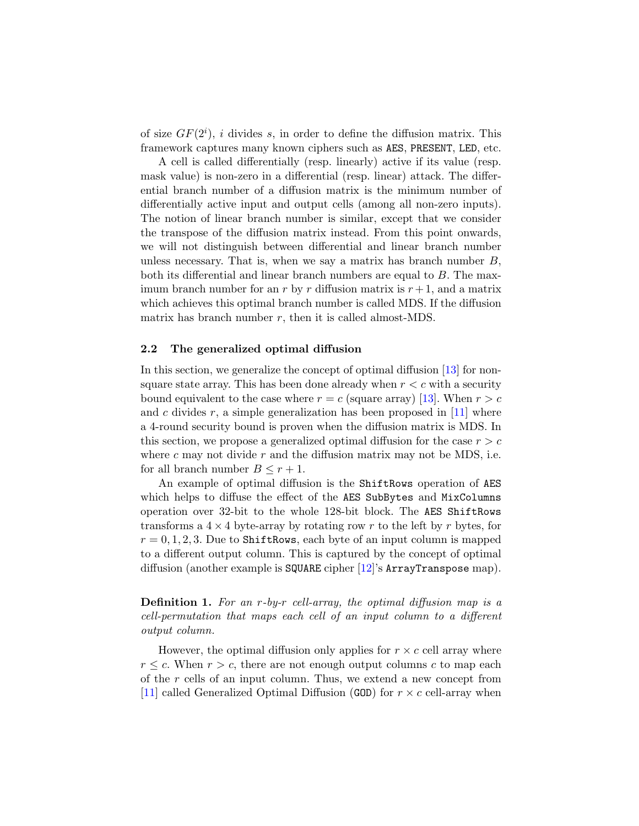of size  $GF(2<sup>i</sup>)$ , *i* divides *s*, in order to define the diffusion matrix. This framework captures many known ciphers such as AES, PRESENT, LED, etc.

A cell is called differentially (resp. linearly) active if its value (resp. mask value) is non-zero in a differential (resp. linear) attack. The differential branch number of a diffusion matrix is the minimum number of differentially active input and output cells (among all non-zero inputs). The notion of linear branch number is similar, except that we consider the transpose of the diffusion matrix instead. From this point onwards, we will not distinguish between differential and linear branch number unless necessary. That is, when we say a matrix has branch number  $B$ , both its differential and linear branch numbers are equal to B. The maximum branch number for an r by r diffusion matrix is  $r + 1$ , and a matrix which achieves this optimal branch number is called MDS. If the diffusion matrix has branch number  $r$ , then it is called almost-MDS.

### <span id="page-4-0"></span>2.2 The generalized optimal diffusion

In this section, we generalize the concept of optimal diffusion [\[13\]](#page-17-8) for nonsquare state array. This has been done already when  $r < c$  with a security bound equivalent to the case where  $r = c$  (square array) [\[13\]](#page-17-8). When  $r > c$ and c divides  $r$ , a simple generalization has been proposed in [\[11\]](#page-17-12) where a 4-round security bound is proven when the diffusion matrix is MDS. In this section, we propose a generalized optimal diffusion for the case  $r > c$ where c may not divide r and the diffusion matrix may not be MDS, i.e. for all branch number  $B \leq r+1$ .

An example of optimal diffusion is the ShiftRows operation of AES which helps to diffuse the effect of the AES SubBytes and MixColumns operation over 32-bit to the whole 128-bit block. The AES ShiftRows transforms a  $4 \times 4$  byte-array by rotating row r to the left by r bytes, for  $r = 0, 1, 2, 3$ . Due to ShiftRows, each byte of an input column is mapped to a different output column. This is captured by the concept of optimal diffusion (another example is SQUARE cipher [\[12\]](#page-17-13)'s ArrayTranspose map).

Definition 1. For an r-by-r cell-array, the optimal diffusion map is a cell-permutation that maps each cell of an input column to a different output column.

However, the optimal diffusion only applies for  $r \times c$  cell array where  $r \leq c$ . When  $r > c$ , there are not enough output columns c to map each of the r cells of an input column. Thus, we extend a new concept from [\[11\]](#page-17-12) called Generalized Optimal Diffusion (GOD) for  $r \times c$  cell-array when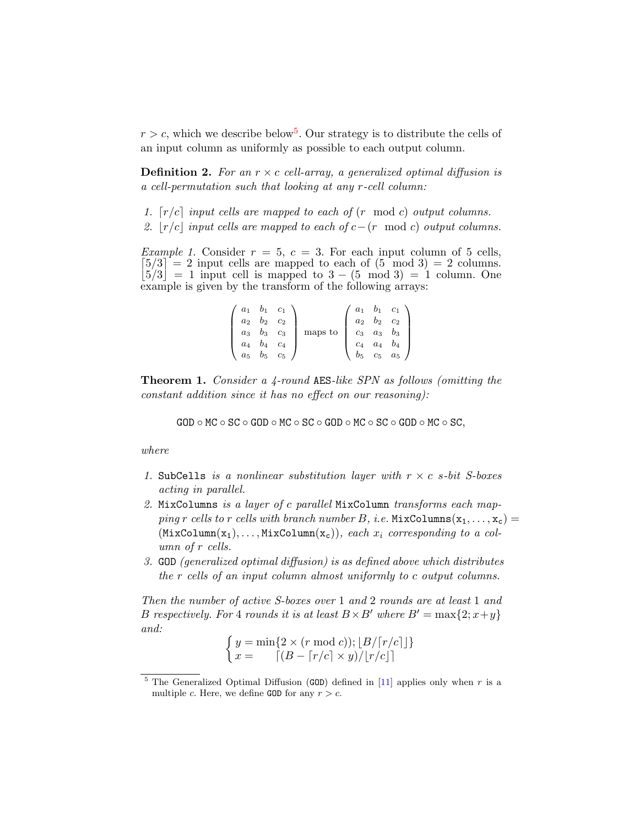$r > c$ , which we describe below<sup>[5](#page-5-0)</sup>. Our strategy is to distribute the cells of an input column as uniformly as possible to each output column.

**Definition 2.** For an  $r \times c$  cell-array, a generalized optimal diffusion is a cell-permutation such that looking at any r-cell column:

- 1.  $[r/c]$  input cells are mapped to each of  $(r \mod c)$  output columns.
- 2.  $|r/c|$  input cells are mapped to each of  $c-(r \mod c)$  output columns.

*Example 1.* Consider  $r = 5$ ,  $c = 3$ . For each input column of 5 cells,  $[5/3] = 2$  input cells are mapped to each of  $(5 \mod 3) = 2$  columns.  $|\dot{5}/3| = 1$  input cell is mapped to  $3 - (5 \mod 3) = 1$  column. One example is given by the transform of the following arrays:

|             | $a_1$ $b_1$ $c_1$ |                  |         | $a_1$ | $b_1 \quad c_1$ |       |
|-------------|-------------------|------------------|---------|-------|-----------------|-------|
| $a_2$ $b_2$ |                   | $\mathfrak{c}_2$ |         |       | $a_2$ $b_2$     | $c_2$ |
|             | $a_3$ $b_3$ $c_3$ |                  | maps to | $c_3$ | $a_3$           | $b_3$ |
| $a_4$       | $b_4$             | $c_4$            |         | $c_4$ | $a_4$           | $b_4$ |
|             | $a_5$ $b_5$       | $c_5$            |         | $b_5$ | $c_5$           | $a_5$ |

<span id="page-5-1"></span>Theorem 1. Consider a 4-round AES-like SPN as follows (omitting the constant addition since it has no effect on our reasoning):

 $GOD \circ MC \circ SC \circ GOD \circ MC \circ SC \circ GOD \circ MC \circ SC \circ GOD \circ MC \circ SC$ ,

where

- 1. SubCells is a nonlinear substitution layer with  $r \times c$  s-bit S-boxes acting in parallel.
- 2. MixColumns is a layer of c parallel MixColumn transforms each mapping r cells to r cells with branch number B, i.e.  $MixColumns(x_1, \ldots, x_c) =$  $(MixColumn(x_1), \ldots, MixColumn(x_c)),$  each  $x_i$  corresponding to a column of r cells.
- 3. GOD (generalized optimal diffusion) is as defined above which distributes the r cells of an input column almost uniformly to c output columns.

Then the number of active S-boxes over 1 and 2 rounds are at least 1 and B respectively. For 4 rounds it is at least  $B \times B'$  where  $B' = \max\{2; x+y\}$ and:

$$
\begin{cases}\ny = \min\{2 \times (r \mod c)\}; \lfloor B/\lceil r/c \rceil \rfloor\} \\
x = \lceil (B - \lceil r/c \rceil \times y) / \lfloor r/c \rfloor \rceil\n\end{cases}
$$

<span id="page-5-0"></span><sup>&</sup>lt;sup>5</sup> The Generalized Optimal Diffusion (GOD) defined in [\[11\]](#page-17-12) applies only when  $r$  is a multiple c. Here, we define GOD for any  $r > c$ .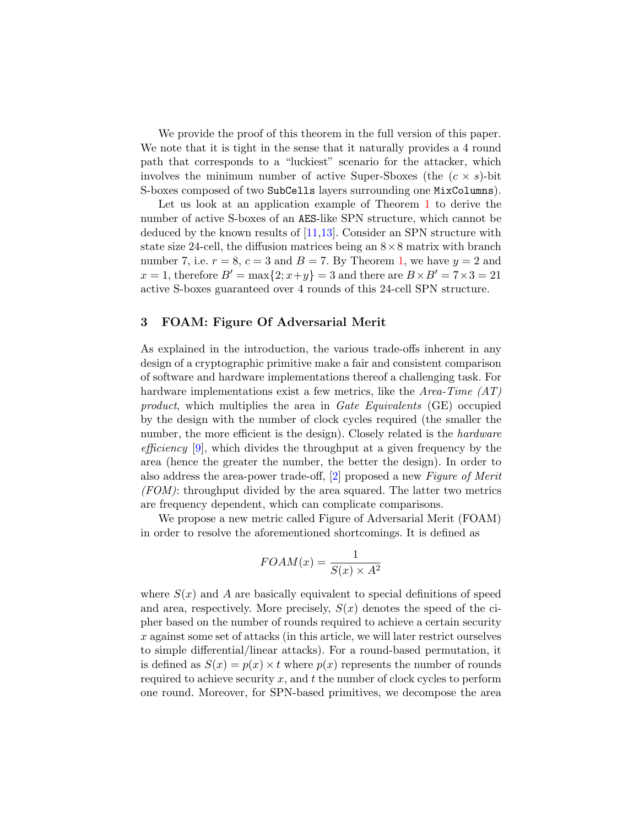We provide the proof of this theorem in the full version of this paper. We note that it is tight in the sense that it naturally provides a 4 round path that corresponds to a "luckiest" scenario for the attacker, which involves the minimum number of active Super-Sboxes (the  $(c \times s)$ -bit S-boxes composed of two SubCells layers surrounding one MixColumns).

Let us look at an application example of Theorem [1](#page-5-1) to derive the number of active S-boxes of an AES-like SPN structure, which cannot be deduced by the known results of [\[11,](#page-17-12)[13\]](#page-17-8). Consider an SPN structure with state size 24-cell, the diffusion matrices being an  $8 \times 8$  matrix with branch number 7, i.e.  $r = 8$ ,  $c = 3$  and  $B = 7$ . By Theorem [1,](#page-5-1) we have  $y = 2$  and  $x = 1$ , therefore  $B' = \max\{2; x+y\} = 3$  and there are  $B \times B' = 7 \times 3 = 21$ active S-boxes guaranteed over 4 rounds of this 24-cell SPN structure.

# <span id="page-6-0"></span>3 FOAM: Figure Of Adversarial Merit

As explained in the introduction, the various trade-offs inherent in any design of a cryptographic primitive make a fair and consistent comparison of software and hardware implementations thereof a challenging task. For hardware implementations exist a few metrics, like the Area-Time  $(AT)$ product, which multiplies the area in Gate Equivalents (GE) occupied by the design with the number of clock cycles required (the smaller the number, the more efficient is the design). Closely related is the *hardware* efficiency [\[9\]](#page-17-7), which divides the throughput at a given frequency by the area (hence the greater the number, the better the design). In order to also address the area-power trade-off, [\[2\]](#page-16-1) proposed a new Figure of Merit  $(FOM)$ : throughput divided by the area squared. The latter two metrics are frequency dependent, which can complicate comparisons.

We propose a new metric called Figure of Adversarial Merit (FOAM) in order to resolve the aforementioned shortcomings. It is defined as

$$
FOAM(x) = \frac{1}{S(x) \times A^2}
$$

where  $S(x)$  and A are basically equivalent to special definitions of speed and area, respectively. More precisely,  $S(x)$  denotes the speed of the cipher based on the number of rounds required to achieve a certain security x against some set of attacks (in this article, we will later restrict ourselves to simple differential/linear attacks). For a round-based permutation, it is defined as  $S(x) = p(x) \times t$  where  $p(x)$  represents the number of rounds required to achieve security  $x$ , and  $t$  the number of clock cycles to perform one round. Moreover, for SPN-based primitives, we decompose the area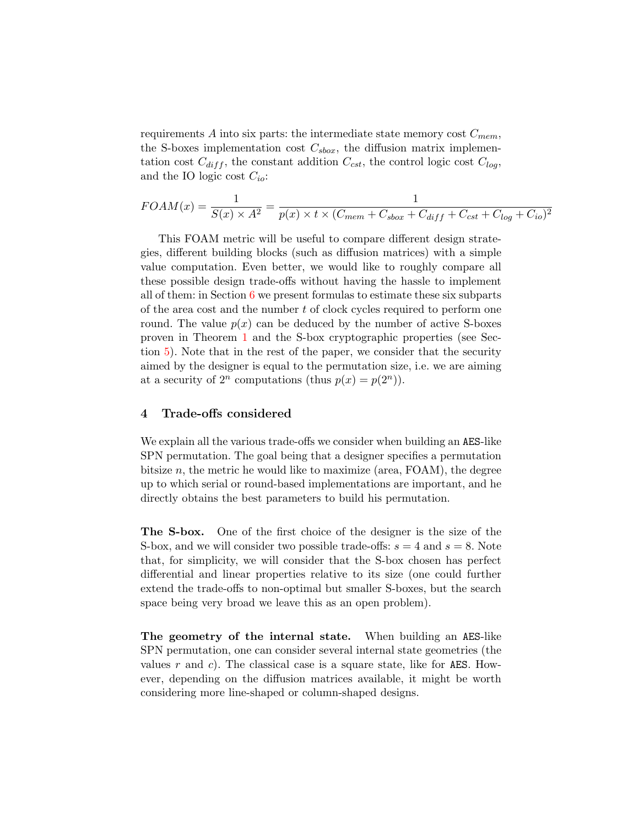requirements A into six parts: the intermediate state memory cost  $C_{mem}$ , the S-boxes implementation cost  $C_{sbox}$ , the diffusion matrix implementation cost  $C_{diff}$ , the constant addition  $C_{cst}$ , the control logic cost  $C_{log}$ , and the IO logic cost  $C_{io}$ :

$$
FOAM(x) = \frac{1}{S(x) \times A^2} = \frac{1}{p(x) \times t \times (C_{mem} + C_{sbox} + C_{diff} + C_{cst} + C_{log} + C_{io})^2}
$$

This FOAM metric will be useful to compare different design strategies, different building blocks (such as diffusion matrices) with a simple value computation. Even better, we would like to roughly compare all these possible design trade-offs without having the hassle to implement all of them: in Section  $6$  we present formulas to estimate these six subparts of the area cost and the number t of clock cycles required to perform one round. The value  $p(x)$  can be deduced by the number of active S-boxes proven in Theorem [1](#page-5-1) and the S-box cryptographic properties (see Section [5\)](#page-9-0). Note that in the rest of the paper, we consider that the security aimed by the designer is equal to the permutation size, i.e. we are aiming at a security of  $2^n$  computations (thus  $p(x) = p(2^n)$ ).

# <span id="page-7-0"></span>4 Trade-offs considered

We explain all the various trade-offs we consider when building an AES-like SPN permutation. The goal being that a designer specifies a permutation bitsize  $n$ , the metric he would like to maximize (area, FOAM), the degree up to which serial or round-based implementations are important, and he directly obtains the best parameters to build his permutation.

The S-box. One of the first choice of the designer is the size of the S-box, and we will consider two possible trade-offs:  $s = 4$  and  $s = 8$ . Note that, for simplicity, we will consider that the S-box chosen has perfect differential and linear properties relative to its size (one could further extend the trade-offs to non-optimal but smaller S-boxes, but the search space being very broad we leave this as an open problem).

The geometry of the internal state. When building an AES-like SPN permutation, one can consider several internal state geometries (the values r and c). The classical case is a square state, like for AES. However, depending on the diffusion matrices available, it might be worth considering more line-shaped or column-shaped designs.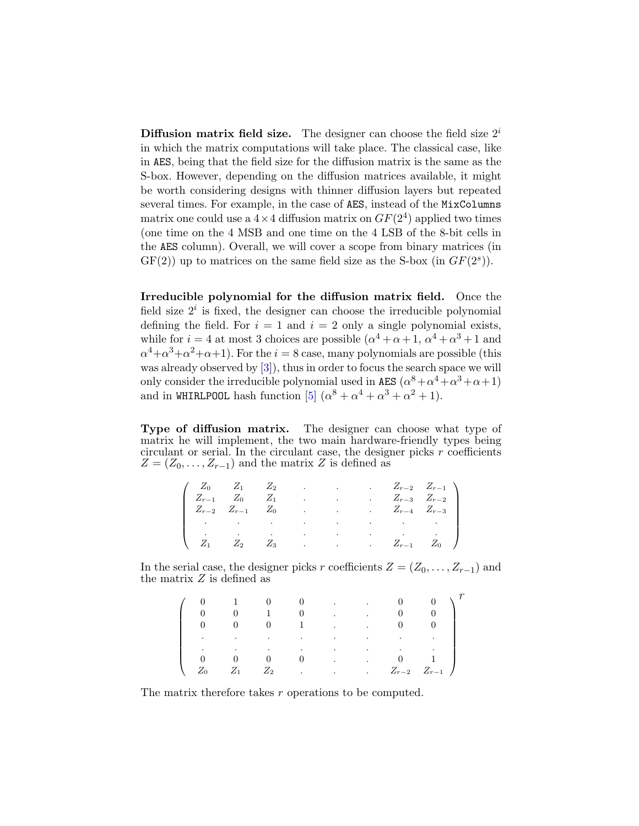**Diffusion matrix field size.** The designer can choose the field size  $2^i$ in which the matrix computations will take place. The classical case, like in AES, being that the field size for the diffusion matrix is the same as the S-box. However, depending on the diffusion matrices available, it might be worth considering designs with thinner diffusion layers but repeated several times. For example, in the case of AES, instead of the MixColumns matrix one could use a  $4 \times 4$  diffusion matrix on  $GF(2^4)$  applied two times (one time on the 4 MSB and one time on the 4 LSB of the 8-bit cells in the AES column). Overall, we will cover a scope from binary matrices (in  $GF(2)$  up to matrices on the same field size as the S-box (in  $GF(2<sup>s</sup>)$ ).

Irreducible polynomial for the diffusion matrix field. Once the field size  $2<sup>i</sup>$  is fixed, the designer can choose the irreducible polynomial defining the field. For  $i = 1$  and  $i = 2$  only a single polynomial exists, while for  $i = 4$  at most 3 choices are possible  $(\alpha^4 + \alpha + 1, \alpha^4 + \alpha^3 + 1, \alpha^4 + \alpha^3)$  $\alpha^4 + \alpha^3 + \alpha^2 + \alpha + 1$ ). For the  $i = 8$  case, many polynomials are possible (this was already observed by [\[3\]](#page-16-2)), thus in order to focus the search space we will only consider the irreducible polynomial used in AES  $(\alpha^8 + \alpha^4 + \alpha^3 + \alpha + 1)$ and in WHIRLPOOL hash function [\[5\]](#page-16-3)  $(\alpha^8 + \alpha^4 + \alpha^3 + \alpha^2 + 1)$ .

Type of diffusion matrix. The designer can choose what type of matrix he will implement, the two main hardware-friendly types being circulant or serial. In the circulant case, the designer picks  $r$  coefficients  $Z = (Z_0, \ldots, Z_{r-1})$  and the matrix Z is defined as

|  | $\begin{pmatrix} Z_0 & Z_1 & Z_2 & \ldots \end{pmatrix}$ |  |  | $Z_{r-2}$ $Z_{r-1}$                                                                                                                                                                                                           |
|--|----------------------------------------------------------|--|--|-------------------------------------------------------------------------------------------------------------------------------------------------------------------------------------------------------------------------------|
|  |                                                          |  |  |                                                                                                                                                                                                                               |
|  |                                                          |  |  | $\begin{bmatrix} Z_{r-1} & Z_0 & Z_1 & \dots & Z_{r-3} & Z_{r-2} \\ Z_{r-2} & Z_{r-1} & Z_0 & \dots & Z_{r-4} & Z_{r-3} \end{bmatrix}$                                                                                        |
|  |                                                          |  |  | the contract of the contract of the contract of the contract of the contract of the contract of the contract of                                                                                                               |
|  |                                                          |  |  | where the contract of the contract of the contract of the contract of the contract of the contract of the contract of the contract of the contract of the contract of the contract of the contract of the contract of the con |
|  |                                                          |  |  | $Z_1$ $Z_2$ $Z_3$ $Z_{r-1}$ $Z_0$ /                                                                                                                                                                                           |

In the serial case, the designer picks r coefficients  $Z = (Z_0, \ldots, Z_{r-1})$  and the matrix  $Z$  is defined as

|               |                                                                                 |                   | $0 \qquad \qquad \ldots \qquad \ldots$<br>$0 \qquad \qquad . \qquad .$ | $\overline{0}$                   |                       |
|---------------|---------------------------------------------------------------------------------|-------------------|------------------------------------------------------------------------|----------------------------------|-----------------------|
|               | $\mathbf{0}$                                                                    |                   | $0 \qquad 1 \qquad . \qquad .$                                         | $\begin{array}{c} 0 \end{array}$ |                       |
| $\sim$ $\sim$ | the contract of the contract of the contract of the contract of the contract of |                   |                                                                        |                                  |                       |
| $\bullet$     | <b>Contract Contract</b>                                                        | <b>Contractor</b> | the contract of the contract of the contract of                        |                                  |                       |
|               |                                                                                 |                   | $0 \qquad \qquad \ldots \qquad \qquad$                                 |                                  |                       |
|               |                                                                                 |                   |                                                                        |                                  | $Z_{r-2}$ $Z_{r-1}$ / |

The matrix therefore takes r operations to be computed.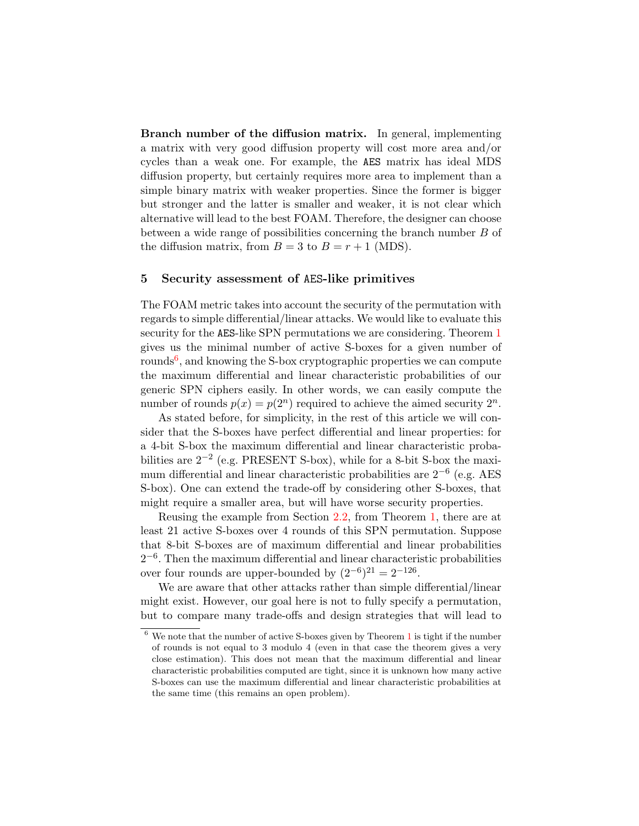Branch number of the diffusion matrix. In general, implementing a matrix with very good diffusion property will cost more area and/or cycles than a weak one. For example, the AES matrix has ideal MDS diffusion property, but certainly requires more area to implement than a simple binary matrix with weaker properties. Since the former is bigger but stronger and the latter is smaller and weaker, it is not clear which alternative will lead to the best FOAM. Therefore, the designer can choose between a wide range of possibilities concerning the branch number B of the diffusion matrix, from  $B = 3$  to  $B = r + 1$  (MDS).

# <span id="page-9-0"></span>5 Security assessment of AES-like primitives

The FOAM metric takes into account the security of the permutation with regards to simple differential/linear attacks. We would like to evaluate this security for the AES-like SPN permutations we are considering. Theorem [1](#page-5-1) gives us the minimal number of active S-boxes for a given number of rounds<sup>[6](#page-9-1)</sup>, and knowing the S-box cryptographic properties we can compute the maximum differential and linear characteristic probabilities of our generic SPN ciphers easily. In other words, we can easily compute the number of rounds  $p(x) = p(2^n)$  required to achieve the aimed security  $2^n$ .

As stated before, for simplicity, in the rest of this article we will consider that the S-boxes have perfect differential and linear properties: for a 4-bit S-box the maximum differential and linear characteristic probabilities are  $2^{-2}$  (e.g. PRESENT S-box), while for a 8-bit S-box the maximum differential and linear characteristic probabilities are  $2^{-6}$  (e.g. AES S-box). One can extend the trade-off by considering other S-boxes, that might require a smaller area, but will have worse security properties.

Reusing the example from Section [2.2,](#page-4-0) from Theorem [1,](#page-5-1) there are at least 21 active S-boxes over 4 rounds of this SPN permutation. Suppose that 8-bit S-boxes are of maximum differential and linear probabilities  $2^{-6}$ . Then the maximum differential and linear characteristic probabilities over four rounds are upper-bounded by  $(2^{-6})^{21} = 2^{-126}$ .

We are aware that other attacks rather than simple differential/linear might exist. However, our goal here is not to fully specify a permutation, but to compare many trade-offs and design strategies that will lead to

<span id="page-9-1"></span> $6$  We note that the number of active S-boxes given by Theorem [1](#page-5-1) is tight if the number of rounds is not equal to 3 modulo 4 (even in that case the theorem gives a very close estimation). This does not mean that the maximum differential and linear characteristic probabilities computed are tight, since it is unknown how many active S-boxes can use the maximum differential and linear characteristic probabilities at the same time (this remains an open problem).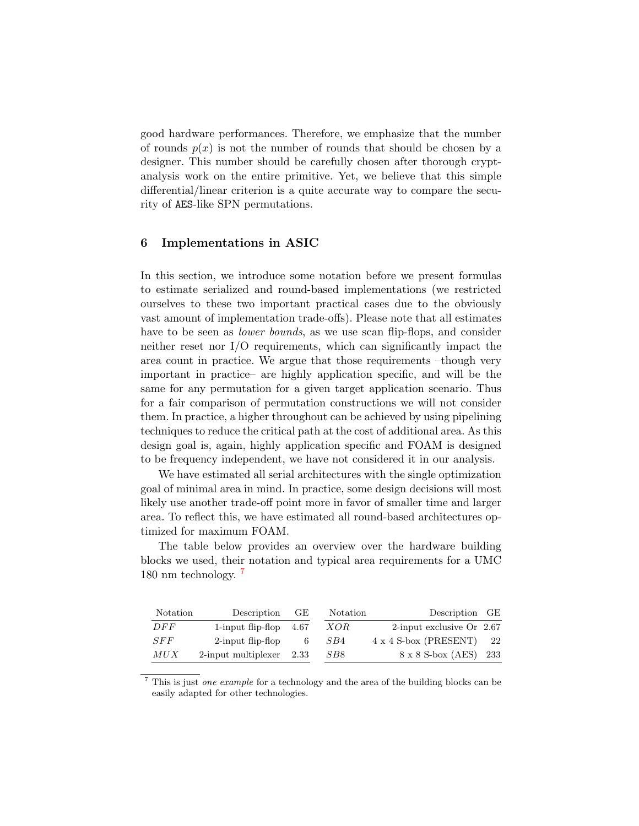good hardware performances. Therefore, we emphasize that the number of rounds  $p(x)$  is not the number of rounds that should be chosen by a designer. This number should be carefully chosen after thorough cryptanalysis work on the entire primitive. Yet, we believe that this simple differential/linear criterion is a quite accurate way to compare the security of AES-like SPN permutations.

# <span id="page-10-0"></span>6 Implementations in ASIC

In this section, we introduce some notation before we present formulas to estimate serialized and round-based implementations (we restricted ourselves to these two important practical cases due to the obviously vast amount of implementation trade-offs). Please note that all estimates have to be seen as *lower bounds*, as we use scan flip-flops, and consider neither reset nor I/O requirements, which can significantly impact the area count in practice. We argue that those requirements –though very important in practice– are highly application specific, and will be the same for any permutation for a given target application scenario. Thus for a fair comparison of permutation constructions we will not consider them. In practice, a higher throughout can be achieved by using pipelining techniques to reduce the critical path at the cost of additional area. As this design goal is, again, highly application specific and FOAM is designed to be frequency independent, we have not considered it in our analysis.

We have estimated all serial architectures with the single optimization goal of minimal area in mind. In practice, some design decisions will most likely use another trade-off point more in favor of smaller time and larger area. To reflect this, we have estimated all round-based architectures optimized for maximum FOAM.

The table below provides an overview over the hardware building blocks we used, their notation and typical area requirements for a UMC 180 nm technology. [7](#page-10-1)

| Notation | Description                   | GE. | Notation   | Description GE               |      |
|----------|-------------------------------|-----|------------|------------------------------|------|
| DFF      | 1-input flip-flop $4.67$      |     | <i>XOR</i> | 2-input exclusive Or $2.67$  |      |
| SFF      | $2$ -input flip-flop          | - 6 | SB4        | $4 \times 4$ S-box (PRESENT) | - 22 |
| MUX      | $2$ -input multiplexer $2.33$ |     | SB8        | 8 x 8 S-box (AES) 233        |      |

<span id="page-10-1"></span><sup>7</sup> This is just one example for a technology and the area of the building blocks can be easily adapted for other technologies.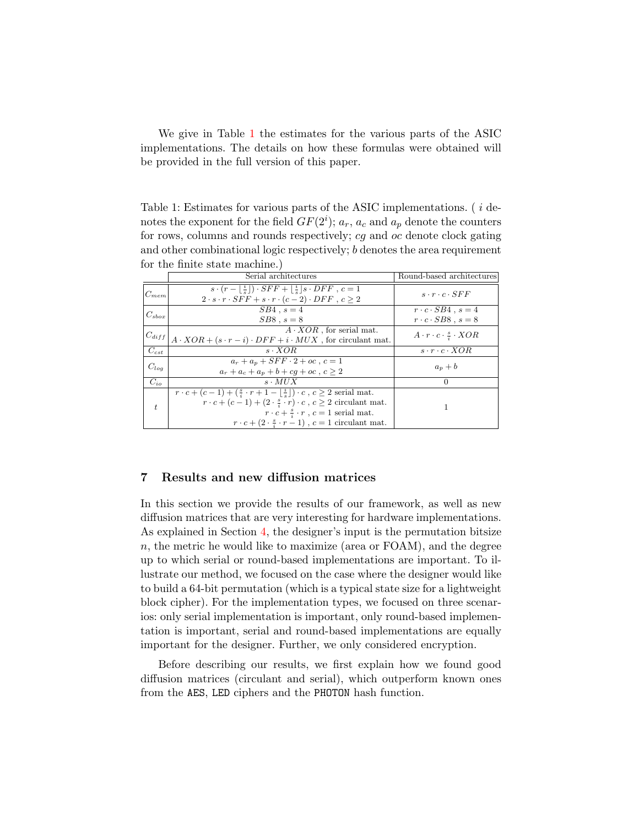We give in Table [1](#page-11-1) the estimates for the various parts of the ASIC implementations. The details on how these formulas were obtained will be provided in the full version of this paper.

<span id="page-11-1"></span>Table 1: Estimates for various parts of the ASIC implementations. ( i denotes the exponent for the field  $GF(2^i)$ ;  $a_r$ ,  $a_c$  and  $a_p$  denote the counters for rows, columns and rounds respectively; cg and oc denote clock gating and other combinational logic respectively; b denotes the area requirement for the finite state machine.)

|                | Serial architectures                                                                                                                                                                                                                                                                                                                             | Round-based architectures                                        |
|----------------|--------------------------------------------------------------------------------------------------------------------------------------------------------------------------------------------------------------------------------------------------------------------------------------------------------------------------------------------------|------------------------------------------------------------------|
| $C_{mem}$      | $s \cdot (r - \lfloor \frac{i}{s} \rfloor) \cdot SFF + \lfloor \frac{i}{s} \rfloor s \cdot DFF$ , $c = 1$<br>$2 \cdot s \cdot r \cdot SFF + s \cdot r \cdot (c-2) \cdot DFF$ , $c > 2$                                                                                                                                                           | $s \cdot r \cdot c \cdot SFF$                                    |
| $C_{\rm sbox}$ | $SB4$ , $s=4$<br>$SB8$ , $s=8$                                                                                                                                                                                                                                                                                                                   | $r \cdot c \cdot SB4$ , $s=4$<br>$r \cdot c \cdot SB8$ , $s = 8$ |
| $ C_{diff} $   | $A \cdot XOR$ , for serial mat.<br>$A \cdot XOR + (s \cdot r - i) \cdot DFF + i \cdot MUX$ , for circulant mat.                                                                                                                                                                                                                                  | $A \cdot r \cdot c \cdot \frac{s}{4} \cdot XOR$                  |
| $C_{cst}$      | $s \cdot XOR$                                                                                                                                                                                                                                                                                                                                    | $s \cdot r \cdot c \cdot XOR$                                    |
| $C_{log}$      | $a_r + a_p + SFF \cdot 2 + oc$ , $c = 1$<br>$a_r + a_c + a_n + b + cq + oc$ , $c > 2$                                                                                                                                                                                                                                                            | $a_p + b$                                                        |
| $C_{io}$       | $s \cdot MUX$                                                                                                                                                                                                                                                                                                                                    | $\Omega$                                                         |
| $t_{i}$        | $r \cdot c + (c-1) + (\frac{s}{i} \cdot r + 1 - \lfloor \frac{i}{s} \rfloor) \cdot c$ , $c \geq 2$ serial mat.<br>$r \cdot c + (c-1) + (2 \cdot \frac{s}{i} \cdot r) \cdot c$ , $c \geq 2$ circulant mat.<br>$r \cdot c + \frac{s}{4} \cdot r$ , $c = 1$ serial mat.<br>$r \cdot c + (2 \cdot \frac{s}{2} \cdot r - 1)$ , $c = 1$ circulant mat. |                                                                  |

# <span id="page-11-0"></span>7 Results and new diffusion matrices

In this section we provide the results of our framework, as well as new diffusion matrices that are very interesting for hardware implementations. As explained in Section [4,](#page-7-0) the designer's input is the permutation bitsize  $n$ , the metric he would like to maximize (area or FOAM), and the degree up to which serial or round-based implementations are important. To illustrate our method, we focused on the case where the designer would like to build a 64-bit permutation (which is a typical state size for a lightweight block cipher). For the implementation types, we focused on three scenarios: only serial implementation is important, only round-based implementation is important, serial and round-based implementations are equally important for the designer. Further, we only considered encryption.

Before describing our results, we first explain how we found good diffusion matrices (circulant and serial), which outperform known ones from the AES, LED ciphers and the PHOTON hash function.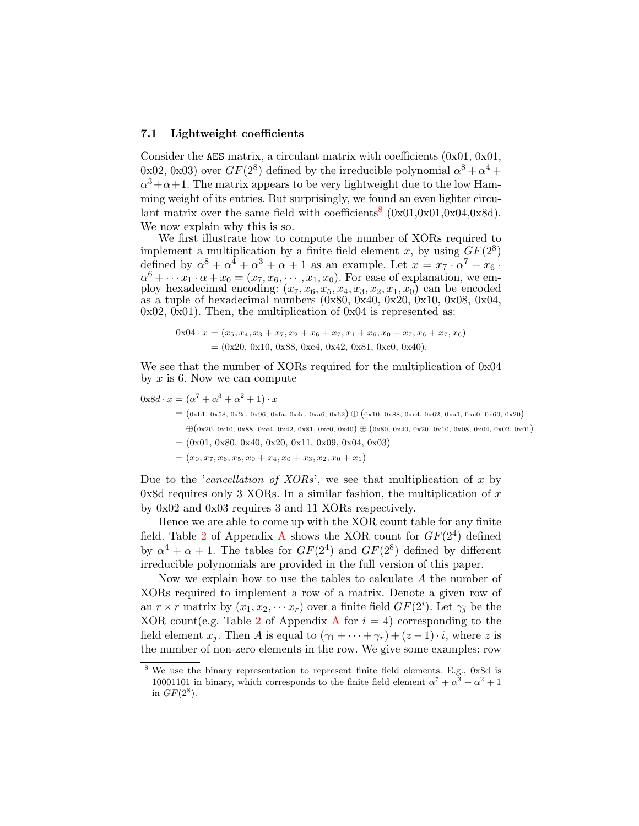#### <span id="page-12-1"></span>7.1 Lightweight coefficients

Consider the AES matrix, a circulant matrix with coefficients (0x01, 0x01, 0x02, 0x03) over  $GF(2^8)$  defined by the irreducible polynomial  $\alpha^8 + \alpha^4 +$  $\alpha^3 + \alpha + 1$ . The matrix appears to be very lightweight due to the low Hamming weight of its entries. But surprisingly, we found an even lighter circu-lant matrix over the same field with coefficients<sup>[8](#page-12-0)</sup>  $(0x01,0x01,0x04,0x8d)$ . We now explain why this is so.

We first illustrate how to compute the number of XORs required to implement a multiplication by a finite field element x, by using  $GF(2^8)$ defined by  $\alpha^8 + \alpha^4 + \alpha^3 + \alpha + 1$  as an example. Let  $x = x_7 \cdot \alpha^7 + x_6$ .  $\alpha^{6} + \cdots x_{1} \cdot \alpha + x_{0} = (x_{7}, x_{6}, \cdots, x_{1}, x_{0})$ . For ease of explanation, we employ hexadecimal encoding:  $(x_7, x_6, x_5, x_4, x_3, x_2, x_1, x_0)$  can be encoded as a tuple of hexadecimal numbers (0x80, 0x40, 0x20, 0x10, 0x08, 0x04,  $0x02, 0x01$ . Then, the multiplication of  $0x04$  is represented as:

$$
0x04 \cdot x = (x_5, x_4, x_3 + x_7, x_2 + x_6 + x_7, x_1 + x_6, x_0 + x_7, x_6 + x_7, x_6)
$$
  
= (0x20, 0x10, 0x88, 0xc4, 0x42, 0x81, 0xc0, 0x40).

We see that the number of XORs required for the multiplication of 0x04 by  $x$  is 6. Now we can compute

$$
0x8d \cdot x = (\alpha^7 + \alpha^3 + \alpha^2 + 1) \cdot x
$$

- $=(0xb1, 0x58, 0x2c, 0x96, 0xfa, 0x4c, 0xa6, 0x62) \oplus (0x10, 0x88, 0xc4, 0x62, 0xa1, 0xc0, 0x60, 0x20)$  $\oplus$ (0x20, 0x10, 0x88, 0xc4, 0x42, 0x81, 0xc0, 0x40)  $\oplus$  (0x80, 0x40, 0x20, 0x10, 0x08, 0x04, 0x02, 0x01)
- $=(0x01, 0x80, 0x40, 0x20, 0x11, 0x09, 0x04, 0x03)$
- $=(x_0, x_7, x_6, x_5, x_0 + x_4, x_0 + x_3, x_2, x_0 + x_1)$

Due to the *'cancellation of XORs'*, we see that multiplication of x by 0x8d requires only 3 XORs. In a similar fashion, the multiplication of  $x$ by 0x02 and 0x03 requires 3 and 11 XORs respectively.

Hence we are able to come up with the XOR count table for any finite field. Table [2](#page-17-14) of [A](#page-17-15)ppendix A shows the XOR count for  $GF(2^4)$  defined by  $\alpha^4 + \alpha + 1$ . The tables for  $GF(2^4)$  and  $GF(2^8)$  defined by different irreducible polynomials are provided in the full version of this paper.

Now we explain how to use the tables to calculate A the number of XORs required to implement a row of a matrix. Denote a given row of an  $r \times r$  matrix by  $(x_1, x_2, \dots x_r)$  over a finite field  $GF(2^i)$ . Let  $\gamma_j$  be the XOR count(e.g. Table [2](#page-17-14) of [A](#page-17-15)ppendix A for  $i = 4$ ) corresponding to the field element  $x_j$ . Then A is equal to  $(\gamma_1 + \cdots + \gamma_r) + (z-1) \cdot i$ , where z is the number of non-zero elements in the row. We give some examples: row

<span id="page-12-0"></span>We use the binary representation to represent finite field elements. E.g., 0x8d is 10001101 in binary, which corresponds to the finite field element  $\alpha^7 + \alpha^3 + \alpha^2 + 1$ in  $GF(2^8)$ .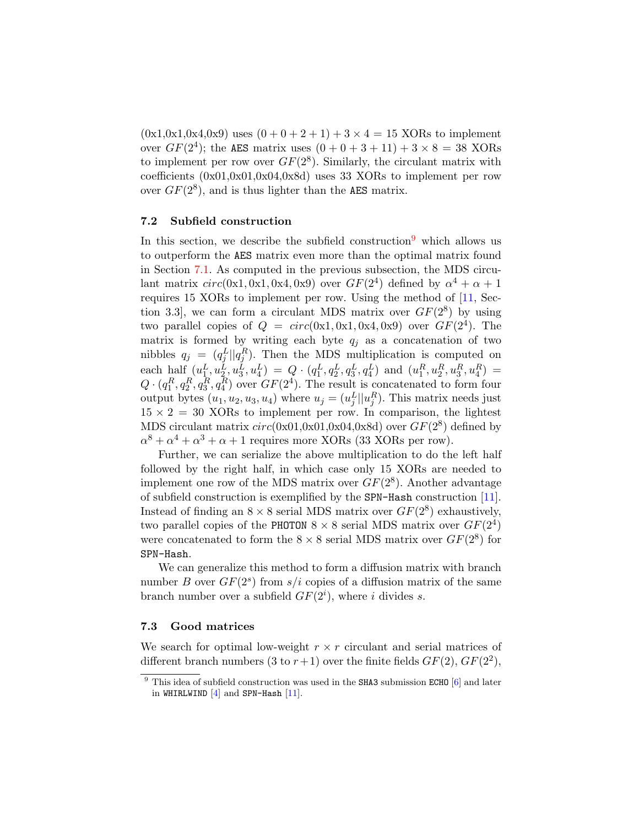$(0x1,0x1,0x4,0x9)$  uses  $(0+0+2+1)+3 \times 4 = 15$  XORs to implement over  $GF(2^4)$ ; the AES matrix uses  $(0 + 0 + 3 + 11) + 3 \times 8 = 38$  XORs to implement per row over  $GF(2^8)$ . Similarly, the circulant matrix with coefficients (0x01,0x01,0x04,0x8d) uses 33 XORs to implement per row over  $GF(2^8)$ , and is thus lighter than the AES matrix.

### <span id="page-13-1"></span>7.2 Subfield construction

In this section, we describe the subfield construction  $9$  which allows us to outperform the AES matrix even more than the optimal matrix found in Section [7.1.](#page-12-1) As computed in the previous subsection, the MDS circulant matrix  $circ(0x1, 0x1, 0x4, 0x9)$  over  $GF(2^4)$  defined by  $\alpha^4 + \alpha + 1$ requires 15 XORs to implement per row. Using the method of [\[11,](#page-17-12) Section 3.3, we can form a circulant MDS matrix over  $GF(2^8)$  by using two parallel copies of  $Q = circ(0x1, 0x1, 0x4, 0x9)$  over  $GF(2<sup>4</sup>)$ . The matrix is formed by writing each byte  $q_i$  as a concatenation of two nibbles  $q_j = (q_j^L || q_j^R)$ . Then the MDS multiplication is computed on each half  $(u_1^L, u_2^L, u_3^L, u_4^L) = Q \cdot (q_1^L, q_2^L, q_3^L, q_4^L)$  and  $(u_1^R, u_2^R, u_3^R, u_4^R) =$  $Q \cdot (q_1^R, q_2^R, q_3^R, q_4^R)$  over  $GF(2^4)$ . The result is concatenated to form four output bytes  $(u_1, u_2, u_3, u_4)$  where  $u_j = (u_j^L || u_j^R)$ . This matrix needs just  $15 \times 2 = 30$  XORs to implement per row. In comparison, the lightest MDS circulant matrix  $circ(0x01,0x01,0x04,0x8d)$  over  $GF(2<sup>8</sup>)$  defined by  $\alpha^8 + \alpha^4 + \alpha^3 + \alpha + 1$  requires more XORs (33 XORs per row).

Further, we can serialize the above multiplication to do the left half followed by the right half, in which case only 15 XORs are needed to implement one row of the MDS matrix over  $GF(2^8)$ . Another advantage of subfield construction is exemplified by the SPN-Hash construction [\[11\]](#page-17-12). Instead of finding an  $8 \times 8$  serial MDS matrix over  $GF(2^8)$  exhaustively, two parallel copies of the PHOTON  $8 \times 8$  serial MDS matrix over  $GF(2^4)$ were concatenated to form the  $8 \times 8$  serial MDS matrix over  $GF(2^8)$  for SPN-Hash.

We can generalize this method to form a diffusion matrix with branch number B over  $GF(2<sup>s</sup>)$  from  $s/i$  copies of a diffusion matrix of the same branch number over a subfield  $GF(2<sup>i</sup>)$ , where i divides s.

### <span id="page-13-2"></span>7.3 Good matrices

We search for optimal low-weight  $r \times r$  circulant and serial matrices of different branch numbers (3 to  $r+1$ ) over the finite fields  $GF(2)$ ,  $GF(2^2)$ ,

<span id="page-13-0"></span> $9$  This idea of subfield construction was used in the SHA3 submission ECHO  $[6]$  and later in WHIRLWIND  $[4]$  and SPN-Hash  $[11]$ .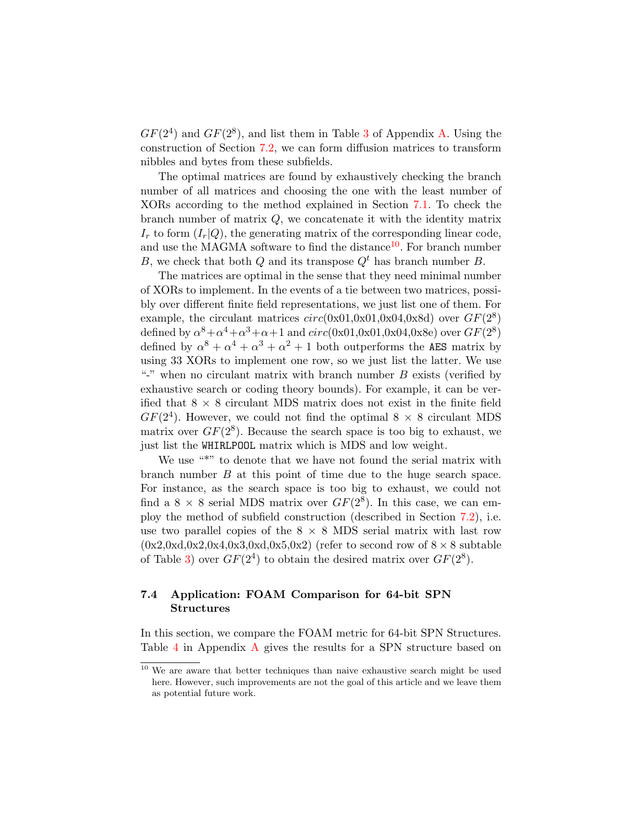$GF(2<sup>4</sup>)$  and  $GF(2<sup>8</sup>)$ , and list them in Table [3](#page-18-0) of Appendix [A.](#page-17-15) Using the construction of Section [7.2,](#page-13-1) we can form diffusion matrices to transform nibbles and bytes from these subfields.

The optimal matrices are found by exhaustively checking the branch number of all matrices and choosing the one with the least number of XORs according to the method explained in Section [7.1.](#page-12-1) To check the branch number of matrix  $Q$ , we concatenate it with the identity matrix  $I_r$  to form  $(I_r|Q)$ , the generating matrix of the corresponding linear code, and use the MAGMA software to find the distance<sup>[10](#page-14-0)</sup>. For branch number B, we check that both Q and its transpose  $Q^t$  has branch number B.

The matrices are optimal in the sense that they need minimal number of XORs to implement. In the events of a tie between two matrices, possibly over different finite field representations, we just list one of them. For example, the circulant matrices  $circ(0x01,0x01,0x04,0x8d)$  over  $GF(2^8)$ defined by  $\alpha^8 + \alpha^4 + \alpha^3 + \alpha + 1$  and  $circ(0x01,0x01,0x04,0x8e)$  over  $GF(2^8)$ defined by  $\alpha^8 + \alpha^4 + \alpha^3 + \alpha^2 + 1$  both outperforms the AES matrix by using 33 XORs to implement one row, so we just list the latter. We use "-" when no circulant matrix with branch number  $B$  exists (verified by exhaustive search or coding theory bounds). For example, it can be verified that  $8 \times 8$  circulant MDS matrix does not exist in the finite field  $GF(2<sup>4</sup>)$ . However, we could not find the optimal  $8 \times 8$  circulant MDS matrix over  $GF(2^8)$ . Because the search space is too big to exhaust, we just list the WHIRLPOOL matrix which is MDS and low weight.

We use "\*" to denote that we have not found the serial matrix with branch number B at this point of time due to the huge search space. For instance, as the search space is too big to exhaust, we could not find a  $8 \times 8$  serial MDS matrix over  $GF(2^8)$ . In this case, we can employ the method of subfield construction (described in Section [7.2\)](#page-13-1), i.e. use two parallel copies of the  $8 \times 8$  MDS serial matrix with last row  $(0x2,0x4,0x2,0x4,0x3,0x4,0x5,0x2)$  (refer to second row of  $8 \times 8$  subtable of Table [3\)](#page-18-0) over  $GF(2^4)$  to obtain the desired matrix over  $GF(2^8)$ .

# 7.4 Application: FOAM Comparison for 64-bit SPN Structures

In this section, we compare the FOAM metric for 64-bit SPN Structures. Table [4](#page-19-0) in Appendix [A](#page-17-15) gives the results for a SPN structure based on

<span id="page-14-0"></span><sup>&</sup>lt;sup>10</sup> We are aware that better techniques than naive exhaustive search might be used here. However, such improvements are not the goal of this article and we leave them as potential future work.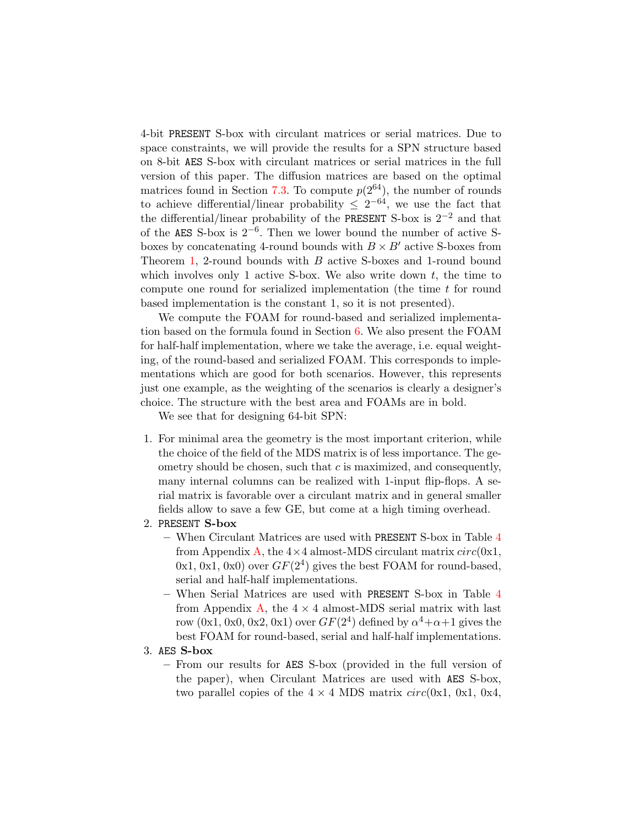4-bit PRESENT S-box with circulant matrices or serial matrices. Due to space constraints, we will provide the results for a SPN structure based on 8-bit AES S-box with circulant matrices or serial matrices in the full version of this paper. The diffusion matrices are based on the optimal matrices found in Section [7.3.](#page-13-2) To compute  $p(2^{64})$ , the number of rounds to achieve differential/linear probability  $\leq 2^{-64}$ , we use the fact that the differential/linear probability of the PRESENT S-box is  $2^{-2}$  and that of the AES S-box is 2−<sup>6</sup> . Then we lower bound the number of active Sboxes by concatenating 4-round bounds with  $B \times B'$  active S-boxes from Theorem [1,](#page-5-1) 2-round bounds with B active S-boxes and 1-round bound which involves only 1 active S-box. We also write down  $t$ , the time to compute one round for serialized implementation (the time  $t$  for round based implementation is the constant 1, so it is not presented).

We compute the FOAM for round-based and serialized implementation based on the formula found in Section [6.](#page-10-0) We also present the FOAM for half-half implementation, where we take the average, i.e. equal weighting, of the round-based and serialized FOAM. This corresponds to implementations which are good for both scenarios. However, this represents just one example, as the weighting of the scenarios is clearly a designer's choice. The structure with the best area and FOAMs are in bold.

We see that for designing 64-bit SPN:

- 1. For minimal area the geometry is the most important criterion, while the choice of the field of the MDS matrix is of less importance. The geometry should be chosen, such that  $c$  is maximized, and consequently, many internal columns can be realized with 1-input flip-flops. A serial matrix is favorable over a circulant matrix and in general smaller fields allow to save a few GE, but come at a high timing overhead.
- 2. PRESENT S-box
	- When Circulant Matrices are used with PRESENT S-box in Table [4](#page-19-0) from Appendix [A,](#page-17-15) the  $4 \times 4$  almost-MDS circulant matrix  $circ(0x1,$  $(0x1, 0x1, 0x0)$  over  $GF(2<sup>4</sup>)$  gives the best FOAM for round-based, serial and half-half implementations.
	- When Serial Matrices are used with PRESENT S-box in Table [4](#page-19-0) from Appendix [A,](#page-17-15) the  $4 \times 4$  almost-MDS serial matrix with last row  $(0x1, 0x0, 0x2, 0x1)$  over  $GF(2<sup>4</sup>)$  defined by  $\alpha<sup>4</sup> + \alpha + 1$  gives the best FOAM for round-based, serial and half-half implementations.
- 3. AES S-box
	- From our results for AES S-box (provided in the full version of the paper), when Circulant Matrices are used with AES S-box, two parallel copies of the  $4 \times 4$  MDS matrix  $circ(0x1, 0x1, 0x4,$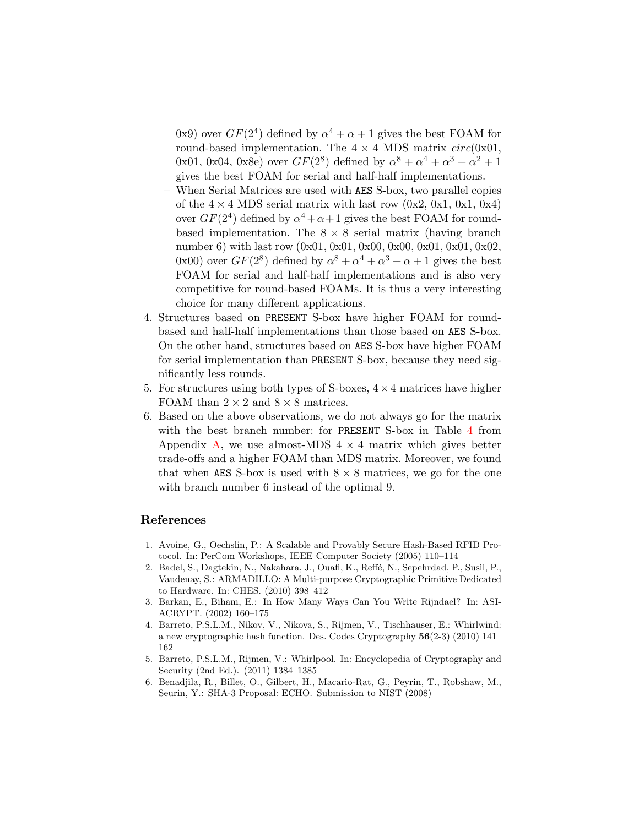0x9) over  $GF(2^4)$  defined by  $\alpha^4 + \alpha + 1$  gives the best FOAM for round-based implementation. The  $4 \times 4$  MDS matrix  $circ(0x01,$ 0x01, 0x04, 0x8e) over  $GF(2^8)$  defined by  $\alpha^8 + \alpha^4 + \alpha^3 + \alpha^2 + 1$ gives the best FOAM for serial and half-half implementations.

- When Serial Matrices are used with AES S-box, two parallel copies of the  $4 \times 4$  MDS serial matrix with last row  $(0x2, 0x1, 0x1, 0x4)$ over  $GF(2^4)$  defined by  $\alpha^4 + \alpha + 1$  gives the best FOAM for roundbased implementation. The  $8 \times 8$  serial matrix (having branch number 6) with last row  $(0x01, 0x01, 0x00, 0x00, 0x01, 0x01, 0x02,$ 0x00) over  $GF(2^8)$  defined by  $\alpha^8 + \alpha^4 + \alpha^3 + \alpha + 1$  gives the best FOAM for serial and half-half implementations and is also very competitive for round-based FOAMs. It is thus a very interesting choice for many different applications.
- 4. Structures based on PRESENT S-box have higher FOAM for roundbased and half-half implementations than those based on AES S-box. On the other hand, structures based on AES S-box have higher FOAM for serial implementation than PRESENT S-box, because they need significantly less rounds.
- 5. For structures using both types of S-boxes,  $4 \times 4$  matrices have higher FOAM than  $2 \times 2$  and  $8 \times 8$  matrices.
- 6. Based on the above observations, we do not always go for the matrix with the best branch number: for PRESENT S-box in Table [4](#page-19-0) from Appendix [A,](#page-17-15) we use almost-MDS  $4 \times 4$  matrix which gives better trade-offs and a higher FOAM than MDS matrix. Moreover, we found that when AES S-box is used with  $8 \times 8$  matrices, we go for the one with branch number 6 instead of the optimal 9.

### References

- <span id="page-16-0"></span>1. Avoine, G., Oechslin, P.: A Scalable and Provably Secure Hash-Based RFID Protocol. In: PerCom Workshops, IEEE Computer Society (2005) 110–114
- <span id="page-16-1"></span>2. Badel, S., Dagtekin, N., Nakahara, J., Ouafi, K., Reffé, N., Sepehrdad, P., Susil, P., Vaudenay, S.: ARMADILLO: A Multi-purpose Cryptographic Primitive Dedicated to Hardware. In: CHES. (2010) 398–412
- <span id="page-16-2"></span>3. Barkan, E., Biham, E.: In How Many Ways Can You Write Rijndael? In: ASI-ACRYPT. (2002) 160–175
- <span id="page-16-5"></span>4. Barreto, P.S.L.M., Nikov, V., Nikova, S., Rijmen, V., Tischhauser, E.: Whirlwind: a new cryptographic hash function. Des. Codes Cryptography 56(2-3) (2010) 141– 162
- <span id="page-16-3"></span>5. Barreto, P.S.L.M., Rijmen, V.: Whirlpool. In: Encyclopedia of Cryptography and Security (2nd Ed.). (2011) 1384–1385
- <span id="page-16-4"></span>6. Benadjila, R., Billet, O., Gilbert, H., Macario-Rat, G., Peyrin, T., Robshaw, M., Seurin, Y.: SHA-3 Proposal: ECHO. Submission to NIST (2008)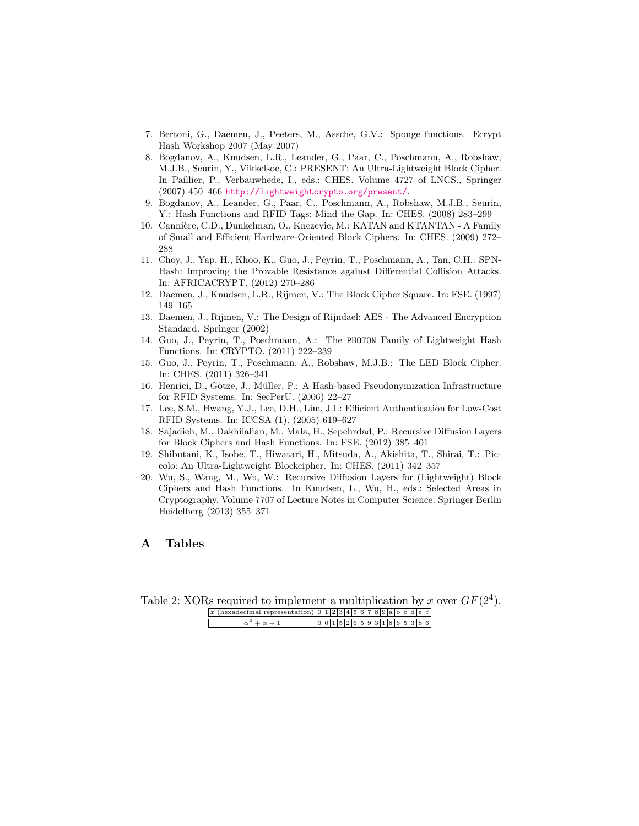- <span id="page-17-6"></span>7. Bertoni, G., Daemen, J., Peeters, M., Assche, G.V.: Sponge functions. Ecrypt Hash Workshop 2007 (May 2007)
- <span id="page-17-0"></span>8. Bogdanov, A., Knudsen, L.R., Leander, G., Paar, C., Poschmann, A., Robshaw, M.J.B., Seurin, Y., Vikkelsoe, C.: PRESENT: An Ultra-Lightweight Block Cipher. In Paillier, P., Verbauwhede, I., eds.: CHES. Volume 4727 of LNCS., Springer (2007) 450–466 <http://lightweightcrypto.org/present/>.
- <span id="page-17-7"></span>9. Bogdanov, A., Leander, G., Paar, C., Poschmann, A., Robshaw, M.J.B., Seurin, Y.: Hash Functions and RFID Tags: Mind the Gap. In: CHES. (2008) 283–299
- <span id="page-17-1"></span>10. Cannière, C.D., Dunkelman, O., Knezevic, M.: KATAN and KTANTAN - A Family of Small and Efficient Hardware-Oriented Block Ciphers. In: CHES. (2009) 272– 288
- <span id="page-17-12"></span>11. Choy, J., Yap, H., Khoo, K., Guo, J., Peyrin, T., Poschmann, A., Tan, C.H.: SPN-Hash: Improving the Provable Resistance against Differential Collision Attacks. In: AFRICACRYPT. (2012) 270–286
- <span id="page-17-13"></span>12. Daemen, J., Knudsen, L.R., Rijmen, V.: The Block Cipher Square. In: FSE. (1997) 149–165
- <span id="page-17-8"></span>13. Daemen, J., Rijmen, V.: The Design of Rijndael: AES - The Advanced Encryption Standard. Springer (2002)
- <span id="page-17-9"></span>14. Guo, J., Peyrin, T., Poschmann, A.: The PHOTON Family of Lightweight Hash Functions. In: CRYPTO. (2011) 222–239
- <span id="page-17-2"></span>15. Guo, J., Peyrin, T., Poschmann, A., Robshaw, M.J.B.: The LED Block Cipher. In: CHES. (2011) 326–341
- <span id="page-17-4"></span>16. Henrici, D., Götze, J., Müller, P.: A Hash-based Pseudonymization Infrastructure for RFID Systems. In: SecPerU. (2006) 22–27
- <span id="page-17-5"></span>17. Lee, S.M., Hwang, Y.J., Lee, D.H., Lim, J.I.: Efficient Authentication for Low-Cost RFID Systems. In: ICCSA (1). (2005) 619–627
- <span id="page-17-10"></span>18. Sajadieh, M., Dakhilalian, M., Mala, H., Sepehrdad, P.: Recursive Diffusion Layers for Block Ciphers and Hash Functions. In: FSE. (2012) 385–401
- <span id="page-17-3"></span>19. Shibutani, K., Isobe, T., Hiwatari, H., Mitsuda, A., Akishita, T., Shirai, T.: Piccolo: An Ultra-Lightweight Blockcipher. In: CHES. (2011) 342–357
- <span id="page-17-11"></span>20. Wu, S., Wang, M., Wu, W.: Recursive Diffusion Layers for (Lightweight) Block Ciphers and Hash Functions. In Knudsen, L., Wu, H., eds.: Selected Areas in Cryptography. Volume 7707 of Lecture Notes in Computer Science. Springer Berlin Heidelberg (2013) 355–371

# <span id="page-17-15"></span>A Tables

<span id="page-17-14"></span>Table 2: XORs required to implement a multiplication by x over  $GF(2^4)$ .

| x (hexadecimal representation) $ 0 1 2 3 4 5 6 7 8 9 a b c d e f $ |  |  |  |  |  |                                 |  |  |  |
|--------------------------------------------------------------------|--|--|--|--|--|---------------------------------|--|--|--|
| $\alpha^4 + \alpha + 1$                                            |  |  |  |  |  | 0 0 1 5 2 6 5 9 3 1 8 6 5 3 8 6 |  |  |  |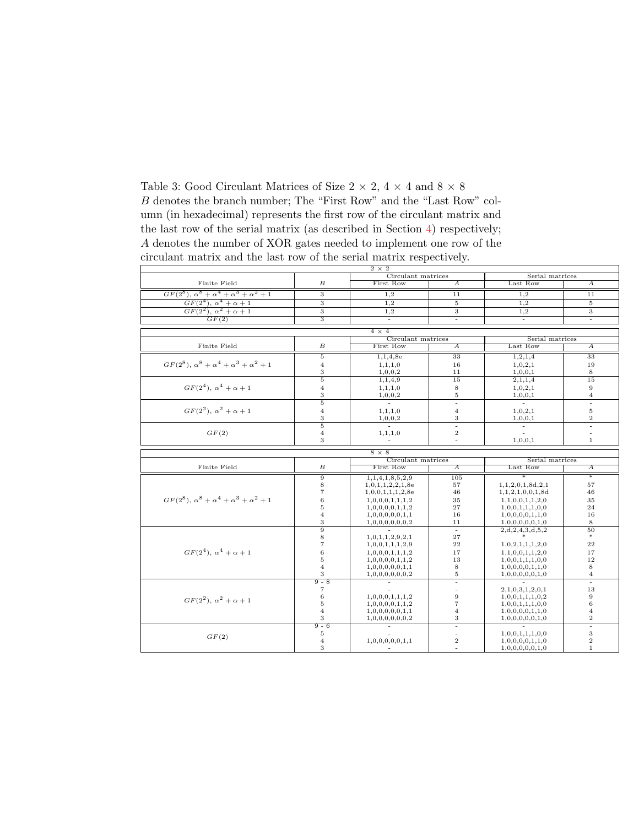<span id="page-18-0"></span>Table 3: Good Circulant Matrices of Size 2  $\times$  2, 4  $\times$  4 and 8  $\times$  8  $\boldsymbol{B}$  denotes the branch number; The "First Row" and the "Last Row" column (in hexadecimal) represents the first row of the circulant matrix and the last row of the serial matrix (as described in Section [4\)](#page-7-0) respectively; A denotes the number of XOR gates needed to implement one row of the circulant matrix and the last row of the serial matrix respectively.

|                                                             |                           | $2 \times 2$       |                         |                                    |                       |  |  |
|-------------------------------------------------------------|---------------------------|--------------------|-------------------------|------------------------------------|-----------------------|--|--|
|                                                             |                           | Circulant matrices |                         | Serial matrices                    |                       |  |  |
| Finite Field                                                | $\boldsymbol{B}$          | First Row          | $\overline{A}$          | Last Row                           | $\overline{A}$        |  |  |
| $GF(2^8), \alpha^8 + \alpha^4 + \alpha^3 + \alpha^2 + 1$    | 3                         | 1,2                | 11                      | 1,2                                | 11                    |  |  |
| $GF(2^4), \alpha^4 + \alpha + 1$                            | 3                         | 1,2                | $\sqrt{5}$              | 1,2                                | $\mathbf 5$           |  |  |
| $GF(2^2), \alpha^2 + \alpha + 1$                            | $\overline{3}$            | 1.2                | 3                       | 1.2                                | 3                     |  |  |
| GF(2)                                                       | $\overline{\overline{3}}$ | $\blacksquare$     | $\blacksquare$          | $\sim$                             | $\omega$              |  |  |
|                                                             |                           |                    |                         |                                    |                       |  |  |
|                                                             |                           | $4 \times 4$       |                         |                                    |                       |  |  |
|                                                             |                           | Circulant matrices |                         | Serial matrices                    |                       |  |  |
| Finite Field                                                | $\boldsymbol{B}$          | First Row          | $\overline{A}$          | Last Row                           | А                     |  |  |
|                                                             | $\overline{5}$            | 1,1,4,8e           | 33                      | 1, 2, 1, 4                         | 33                    |  |  |
| $GF(2^8), \alpha^8 + \alpha^4 + \alpha^3 + \alpha^2 + 1$    | $\overline{4}$            | 1, 1, 1, 0         | 16                      | 1,0,2,1                            | 19                    |  |  |
|                                                             | 3                         | 1,0,0,2            | 11                      | 1, 0, 0, 1                         | 8                     |  |  |
|                                                             | $\overline{5}$            | 1,1,4,9            | 15                      | 2,1,1,4                            | 15                    |  |  |
| $GF(2^4), \alpha^4 + \alpha + 1$                            | $\overline{4}$            | 1, 1, 1, 0         | 8                       | 1,0,2,1                            | $\,9$                 |  |  |
|                                                             | 3                         | 1,0,0,2            | 5                       | 1,0,0,1                            | $\overline{4}$        |  |  |
|                                                             | $\overline{5}$            | τ                  | Ξ                       | T.                                 | Ξ                     |  |  |
| $GF(2^2), \alpha^2 + \alpha + 1$                            | $\overline{4}$            | 1, 1, 1, 0         | $\overline{4}$          | 1,0,2,1                            | $\bf 5$               |  |  |
|                                                             | 3                         | 1,0,0,2            | 3                       | $\frac{1,0,0,1}{1}$                | $\,2$                 |  |  |
|                                                             | $\overline{5}$            | ÷                  | Ξ                       |                                    | Ξ                     |  |  |
| GF(2)                                                       | $\overline{4}$            | 1, 1, 1, 0         | $\,2$                   |                                    | $\blacksquare$        |  |  |
|                                                             | 3                         |                    | $\bar{a}$               | 1,0,0,1                            | $\mathbf{1}$          |  |  |
|                                                             |                           | $8 \times 8$       |                         |                                    |                       |  |  |
|                                                             |                           | Circulant matrices |                         | Serial matrices                    |                       |  |  |
| Finite Field                                                | $\boldsymbol{B}$          | First Row          | $\overline{A}$          | Last Row                           | $\overline{A}$        |  |  |
|                                                             | $\overline{9}$            | 1,1,4,1,8,5,2,9    | 105                     |                                    | $\overline{\ast}$     |  |  |
|                                                             | 8                         | 1,0,1,1,2,2,1,8e   | 57                      | 1, 1, 2, 0, 1, 8d, 2, 1            | 57                    |  |  |
|                                                             | $\overline{7}$            | 1,0,0,1,1,1,2,8e   | 46                      | 1, 1, 2, 1, 0, 0, 1, 8d            | 46                    |  |  |
| $GF(2^8)$ , $\alpha^8 + \alpha^4 + \alpha^3 + \alpha^2 + 1$ | 6                         | 1,0,0,0,1,1,1,2    | 35                      | 1, 1, 0, 0, 1, 1, 2, 0             | 35                    |  |  |
|                                                             | 5                         | 1,0,0,0,0,1,1,2    | 27                      | 1,0,0,1,1,1,0,0                    | 24                    |  |  |
|                                                             | $\overline{4}$            | 1,0,0,0,0,0,1,1    | 16                      | 1,0,0,0,0,1,1,0                    | 16                    |  |  |
|                                                             | 3                         | 1,0,0,0,0,0,0,2    | 11                      | 1,0,0,0,0,0,1,0                    | 8                     |  |  |
|                                                             | $\overline{9}$            |                    | ÷.                      | 2,d,2,4,3,d,5,2                    | 50                    |  |  |
|                                                             | 8                         | 1,0,1,1,2,9,2,1    | 27                      |                                    | $\ast$                |  |  |
|                                                             | 7                         | 1,0,0,1,1,1,2,9    | 22                      | 1,0,2,1,1,1,2,0                    | 22                    |  |  |
| $GF(2^4), \alpha^4 + \alpha + 1$                            | 6                         | 1,0,0,0,1,1,1,2    | 17                      | 1, 1, 0, 0, 1, 1, 2, 0             | 17                    |  |  |
|                                                             | 5                         | 1,0,0,0,0,1,1,2    | 13                      | 1,0,0,1,1,1,0,0                    | 12                    |  |  |
|                                                             | $\overline{4}$            | 1,0,0,0,0,0,1,1    | 8                       | 1,0,0,0,0,1,1,0                    | 8                     |  |  |
|                                                             |                           |                    |                         |                                    |                       |  |  |
|                                                             | 3                         | 1,0,0,0,0,0,0,2    | $\rm 5$                 | 1,0,0,0,0,0,1,0                    | $\overline{4}$        |  |  |
|                                                             | $9 - 8$                   |                    | $\bar{a}$               |                                    | $\omega$              |  |  |
|                                                             | $\scriptstyle{7}$         |                    | $\blacksquare$          | 2,1,0,3,1,2,0,1                    | 13                    |  |  |
|                                                             | 6                         | 1,0,0,0,1,1,1,2    | $\boldsymbol{9}$        | 1,0,0,1,1,1,0,2                    | $\overline{9}$        |  |  |
| $GF(2^2), \alpha^2 + \alpha + 1$                            | $\bf 5$                   | 1,0,0,0,0,1,1,2    | $\overline{7}$          | 1,0,0,1,1,1,0,0                    | 6                     |  |  |
|                                                             | $\overline{4}$            | 1,0,0,0,0,0,1,1    | $\overline{4}$          | 1,0,0,0,0,1,1,0                    | $\bf{4}$              |  |  |
|                                                             | 3                         | 1,0,0,0,0,0,0,2    | 3                       | 1,0,0,0,0,0,1,0                    | $\sqrt{2}$            |  |  |
|                                                             | $9 - 6$                   |                    | $\equiv$                |                                    | Ξ                     |  |  |
| GF(2)                                                       | 5                         |                    |                         | 1,0,0,1,1,1,0,0                    | $\,3$                 |  |  |
|                                                             | $\overline{4}$<br>3       | 1,0,0,0,0,0,1,1    | $\,2$<br>$\blacksquare$ | 1,0,0,0,0,1,1,0<br>1,0,0,0,0,0,1,0 | $\,2$<br>$\mathbf{1}$ |  |  |